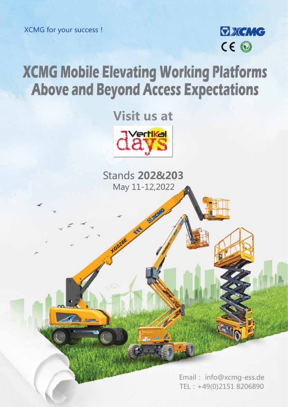XCMG for your success !

**COLLEGAN** 



# **XCMG Mobile Elevating Working Platforms Above and Beyond Access Expectations**

Visit us at



**Stands 2028 203** May 11-12,2022

> Email: info@xcmg-ess.de TEL: +49(0)2151 8206890